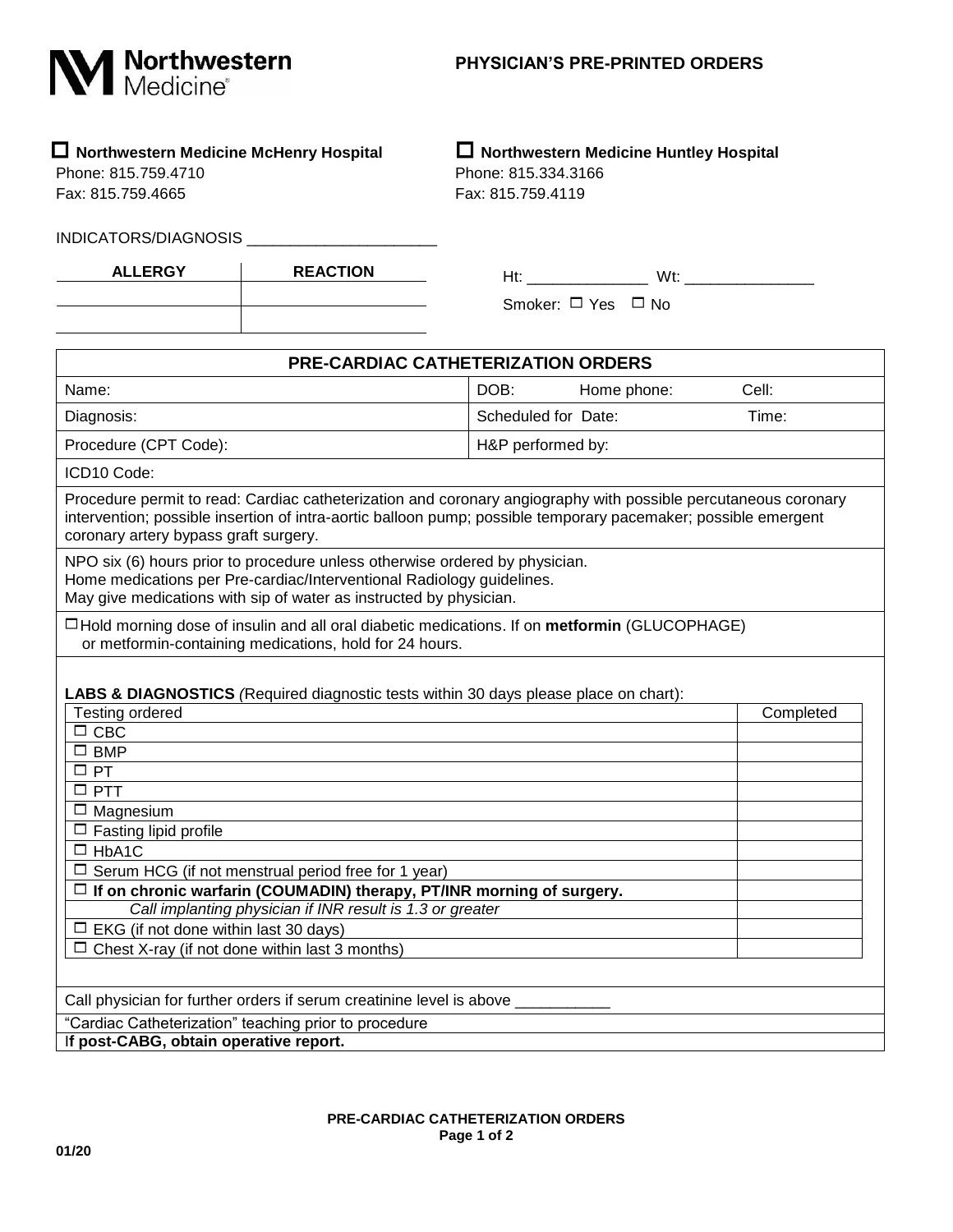

## **Northwestern Medicine McHenry Hospital Northwestern Medicine Huntley Hospital**

Phone: 815.759.4710 Phone: 815.334.3166 Fax: 815.759.4665 Fax: 815.759.4119

INDICATORS/DIAGNOSIS \_\_\_\_\_\_\_\_\_\_\_\_\_\_\_\_\_\_\_\_\_\_

| <b>ALLERGY</b> | <b>REACTION</b> |
|----------------|-----------------|
|                |                 |
|                |                 |

| Ht:                          | Wt۰ |
|------------------------------|-----|
| Smoker: $\Box$ Yes $\Box$ No |     |

| <b>PRE-CARDIAC CATHETERIZATION ORDERS</b>                                                                                                                                                                                                                                                                                                                                                                                                                                                                                                                                         |                     |             |           |
|-----------------------------------------------------------------------------------------------------------------------------------------------------------------------------------------------------------------------------------------------------------------------------------------------------------------------------------------------------------------------------------------------------------------------------------------------------------------------------------------------------------------------------------------------------------------------------------|---------------------|-------------|-----------|
| Name:                                                                                                                                                                                                                                                                                                                                                                                                                                                                                                                                                                             | DOB:                | Home phone: | Cell:     |
| Diagnosis:                                                                                                                                                                                                                                                                                                                                                                                                                                                                                                                                                                        | Scheduled for Date: |             | Time:     |
| Procedure (CPT Code):                                                                                                                                                                                                                                                                                                                                                                                                                                                                                                                                                             | H&P performed by:   |             |           |
| ICD10 Code:                                                                                                                                                                                                                                                                                                                                                                                                                                                                                                                                                                       |                     |             |           |
| Procedure permit to read: Cardiac catheterization and coronary angiography with possible percutaneous coronary<br>intervention; possible insertion of intra-aortic balloon pump; possible temporary pacemaker; possible emergent<br>coronary artery bypass graft surgery.                                                                                                                                                                                                                                                                                                         |                     |             |           |
| NPO six (6) hours prior to procedure unless otherwise ordered by physician.<br>Home medications per Pre-cardiac/Interventional Radiology guidelines.<br>May give medications with sip of water as instructed by physician.                                                                                                                                                                                                                                                                                                                                                        |                     |             |           |
| $\Box$ Hold morning dose of insulin and all oral diabetic medications. If on <b>metformin</b> (GLUCOPHAGE)<br>or metformin-containing medications, hold for 24 hours.                                                                                                                                                                                                                                                                                                                                                                                                             |                     |             |           |
| <b>LABS &amp; DIAGNOSTICS</b> (Required diagnostic tests within 30 days please place on chart):<br><b>Testing ordered</b><br>$\Box$ CBC<br>$\square$ BMP<br>$\square$ PT<br>$\square$ PTT<br>$\Box$ Magnesium<br>$\Box$ Fasting lipid profile<br>$\Box$ HbA1C<br>$\Box$ Serum HCG (if not menstrual period free for 1 year)<br>$\Box$ If on chronic warfarin (COUMADIN) therapy, PT/INR morning of surgery.<br>Call implanting physician if INR result is 1.3 or greater<br>$\Box$ EKG (if not done within last 30 days)<br>$\Box$ Chest X-ray (if not done within last 3 months) |                     |             | Completed |
| Call physician for further orders if serum creatinine level is above                                                                                                                                                                                                                                                                                                                                                                                                                                                                                                              |                     |             |           |
| "Cardiac Catheterization" teaching prior to procedure<br>If post-CABG, obtain operative report.                                                                                                                                                                                                                                                                                                                                                                                                                                                                                   |                     |             |           |